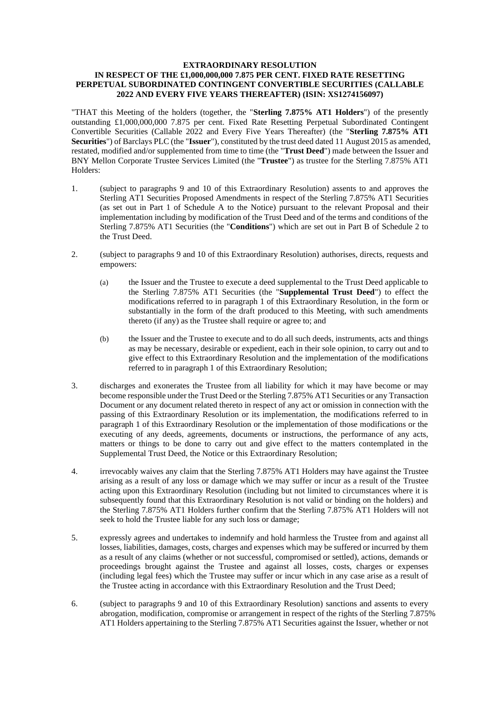### **EXTRAORDINARY RESOLUTION IN RESPECT OF THE £1,000,000,000 7.875 PER CENT. FIXED RATE RESETTING PERPETUAL SUBORDINATED CONTINGENT CONVERTIBLE SECURITIES (CALLABLE 2022 AND EVERY FIVE YEARS THEREAFTER) (ISIN: XS1274156097)**

"THAT this Meeting of the holders (together, the "**Sterling 7.875% AT1 Holders**") of the presently outstanding £1,000,000,000 7.875 per cent. Fixed Rate Resetting Perpetual Subordinated Contingent Convertible Securities (Callable 2022 and Every Five Years Thereafter) (the "**Sterling 7.875% AT1 Securities**") of Barclays PLC (the "**Issuer**"), constituted by the trust deed dated 11 August 2015 as amended, restated, modified and/or supplemented from time to time (the "**Trust Deed**") made between the Issuer and BNY Mellon Corporate Trustee Services Limited (the "**Trustee**") as trustee for the Sterling 7.875% AT1 Holders:

- 1. (subject to paragraphs 9 and 10 of this Extraordinary Resolution) assents to and approves the Sterling AT1 Securities Proposed Amendments in respect of the Sterling 7.875% AT1 Securities (as set out in Part 1 of Schedule A to the Notice) pursuant to the relevant Proposal and their implementation including by modification of the Trust Deed and of the terms and conditions of the Sterling 7.875% AT1 Securities (the "**Conditions**") which are set out in Part B of Schedule 2 to the Trust Deed.
- 2. (subject to paragraphs 9 and 10 of this Extraordinary Resolution) authorises, directs, requests and empowers:
	- (a) the Issuer and the Trustee to execute a deed supplemental to the Trust Deed applicable to the Sterling 7.875% AT1 Securities (the "**Supplemental Trust Deed**") to effect the modifications referred to in paragraph 1 of this Extraordinary Resolution, in the form or substantially in the form of the draft produced to this Meeting, with such amendments thereto (if any) as the Trustee shall require or agree to; and
	- (b) the Issuer and the Trustee to execute and to do all such deeds, instruments, acts and things as may be necessary, desirable or expedient, each in their sole opinion, to carry out and to give effect to this Extraordinary Resolution and the implementation of the modifications referred to in paragraph 1 of this Extraordinary Resolution;
- 3. discharges and exonerates the Trustee from all liability for which it may have become or may become responsible under the Trust Deed or the Sterling 7.875% AT1 Securities or any Transaction Document or any document related thereto in respect of any act or omission in connection with the passing of this Extraordinary Resolution or its implementation, the modifications referred to in paragraph 1 of this Extraordinary Resolution or the implementation of those modifications or the executing of any deeds, agreements, documents or instructions, the performance of any acts, matters or things to be done to carry out and give effect to the matters contemplated in the Supplemental Trust Deed, the Notice or this Extraordinary Resolution;
- 4. irrevocably waives any claim that the Sterling 7.875% AT1 Holders may have against the Trustee arising as a result of any loss or damage which we may suffer or incur as a result of the Trustee acting upon this Extraordinary Resolution (including but not limited to circumstances where it is subsequently found that this Extraordinary Resolution is not valid or binding on the holders) and the Sterling 7.875% AT1 Holders further confirm that the Sterling 7.875% AT1 Holders will not seek to hold the Trustee liable for any such loss or damage;
- 5. expressly agrees and undertakes to indemnify and hold harmless the Trustee from and against all losses, liabilities, damages, costs, charges and expenses which may be suffered or incurred by them as a result of any claims (whether or not successful, compromised or settled), actions, demands or proceedings brought against the Trustee and against all losses, costs, charges or expenses (including legal fees) which the Trustee may suffer or incur which in any case arise as a result of the Trustee acting in accordance with this Extraordinary Resolution and the Trust Deed;
- 6. (subject to paragraphs 9 and 10 of this Extraordinary Resolution) sanctions and assents to every abrogation, modification, compromise or arrangement in respect of the rights of the Sterling 7.875% AT1 Holders appertaining to the Sterling 7.875% AT1 Securities against the Issuer, whether or not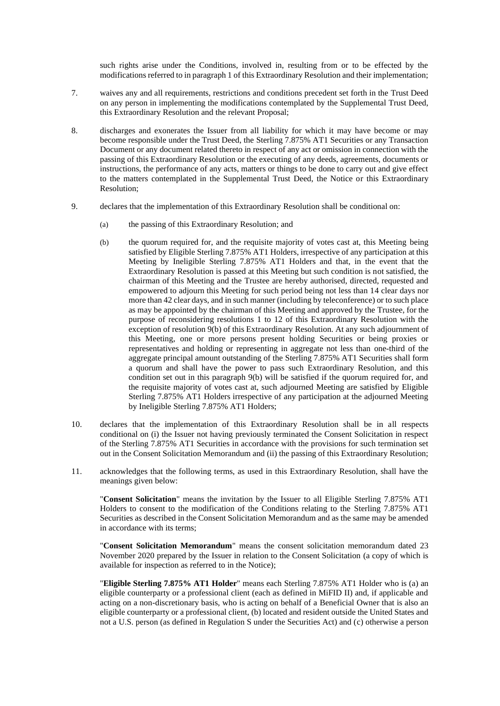such rights arise under the Conditions, involved in, resulting from or to be effected by the modifications referred to in paragraph 1 of this Extraordinary Resolution and their implementation;

- 7. waives any and all requirements, restrictions and conditions precedent set forth in the Trust Deed on any person in implementing the modifications contemplated by the Supplemental Trust Deed, this Extraordinary Resolution and the relevant Proposal;
- 8. discharges and exonerates the Issuer from all liability for which it may have become or may become responsible under the Trust Deed, the Sterling 7.875% AT1 Securities or any Transaction Document or any document related thereto in respect of any act or omission in connection with the passing of this Extraordinary Resolution or the executing of any deeds, agreements, documents or instructions, the performance of any acts, matters or things to be done to carry out and give effect to the matters contemplated in the Supplemental Trust Deed, the Notice or this Extraordinary Resolution;
- 9. declares that the implementation of this Extraordinary Resolution shall be conditional on:
	- (a) the passing of this Extraordinary Resolution; and
	- (b) the quorum required for, and the requisite majority of votes cast at, this Meeting being satisfied by Eligible Sterling 7.875% AT1 Holders, irrespective of any participation at this Meeting by Ineligible Sterling 7.875% AT1 Holders and that, in the event that the Extraordinary Resolution is passed at this Meeting but such condition is not satisfied, the chairman of this Meeting and the Trustee are hereby authorised, directed, requested and empowered to adjourn this Meeting for such period being not less than 14 clear days nor more than 42 clear days, and in such manner (including by teleconference) or to such place as may be appointed by the chairman of this Meeting and approved by the Trustee, for the purpose of reconsidering resolutions 1 to 12 of this Extraordinary Resolution with the exception of resolution 9(b) of this Extraordinary Resolution. At any such adjournment of this Meeting, one or more persons present holding Securities or being proxies or representatives and holding or representing in aggregate not less than one-third of the aggregate principal amount outstanding of the Sterling 7.875% AT1 Securities shall form a quorum and shall have the power to pass such Extraordinary Resolution, and this condition set out in this paragraph 9(b) will be satisfied if the quorum required for, and the requisite majority of votes cast at, such adjourned Meeting are satisfied by Eligible Sterling 7.875% AT1 Holders irrespective of any participation at the adjourned Meeting by Ineligible Sterling 7.875% AT1 Holders;
- 10. declares that the implementation of this Extraordinary Resolution shall be in all respects conditional on (i) the Issuer not having previously terminated the Consent Solicitation in respect of the Sterling 7.875% AT1 Securities in accordance with the provisions for such termination set out in the Consent Solicitation Memorandum and (ii) the passing of this Extraordinary Resolution;
- 11. acknowledges that the following terms, as used in this Extraordinary Resolution, shall have the meanings given below:

"**Consent Solicitation**" means the invitation by the Issuer to all Eligible Sterling 7.875% AT1 Holders to consent to the modification of the Conditions relating to the Sterling 7.875% AT1 Securities as described in the Consent Solicitation Memorandum and as the same may be amended in accordance with its terms;

"**Consent Solicitation Memorandum**" means the consent solicitation memorandum dated 23 November 2020 prepared by the Issuer in relation to the Consent Solicitation (a copy of which is available for inspection as referred to in the Notice);

"**Eligible Sterling 7.875% AT1 Holder**" means each Sterling 7.875% AT1 Holder who is (a) an eligible counterparty or a professional client (each as defined in MiFID II) and, if applicable and acting on a non-discretionary basis, who is acting on behalf of a Beneficial Owner that is also an eligible counterparty or a professional client, (b) located and resident outside the United States and not a U.S. person (as defined in Regulation S under the Securities Act) and (c) otherwise a person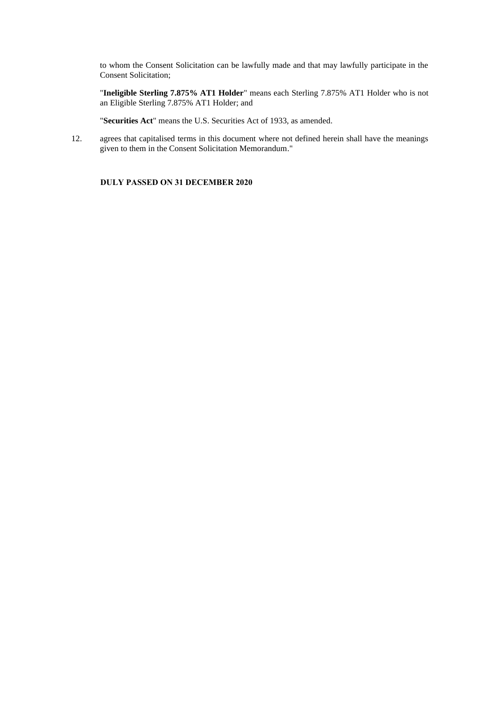to whom the Consent Solicitation can be lawfully made and that may lawfully participate in the Consent Solicitation;

"**Ineligible Sterling 7.875% AT1 Holder**" means each Sterling 7.875% AT1 Holder who is not an Eligible Sterling 7.875% AT1 Holder; and

"**Securities Act**" means the U.S. Securities Act of 1933, as amended.

12. agrees that capitalised terms in this document where not defined herein shall have the meanings given to them in the Consent Solicitation Memorandum."

# **DULY PASSED ON 31 DECEMBER 2020**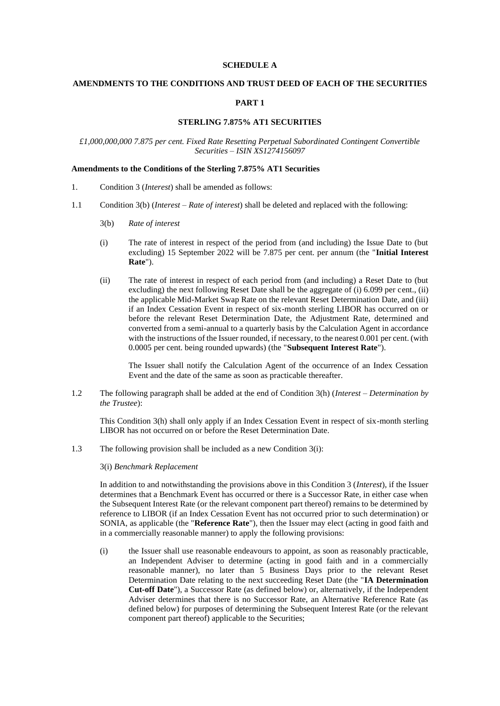# **SCHEDULE A**

## **AMENDMENTS TO THE CONDITIONS AND TRUST DEED OF EACH OF THE SECURITIES**

# **PART 1**

### **STERLING 7.875% AT1 SECURITIES**

# *£1,000,000,000 7.875 per cent. Fixed Rate Resetting Perpetual Subordinated Contingent Convertible Securities – ISIN XS1274156097*

# **Amendments to the Conditions of the Sterling 7.875% AT1 Securities**

- 1. Condition 3 (*Interest*) shall be amended as follows:
- 1.1 Condition 3(b) (*Interest Rate of interest*) shall be deleted and replaced with the following:
	- 3(b) *Rate of interest*
	- (i) The rate of interest in respect of the period from (and including) the Issue Date to (but excluding) 15 September 2022 will be 7.875 per cent. per annum (the "**Initial Interest Rate**").
	- (ii) The rate of interest in respect of each period from (and including) a Reset Date to (but excluding) the next following Reset Date shall be the aggregate of (i) 6.099 per cent., (ii) the applicable Mid-Market Swap Rate on the relevant Reset Determination Date, and (iii) if an Index Cessation Event in respect of six-month sterling LIBOR has occurred on or before the relevant Reset Determination Date, the Adjustment Rate, determined and converted from a semi-annual to a quarterly basis by the Calculation Agent in accordance with the instructions of the Issuer rounded, if necessary, to the nearest 0.001 per cent. (with 0.0005 per cent. being rounded upwards) (the "**Subsequent Interest Rate**").

The Issuer shall notify the Calculation Agent of the occurrence of an Index Cessation Event and the date of the same as soon as practicable thereafter.

1.2 The following paragraph shall be added at the end of Condition 3(h) (*Interest – Determination by the Trustee*):

This Condition 3(h) shall only apply if an Index Cessation Event in respect of six-month sterling LIBOR has not occurred on or before the Reset Determination Date.

1.3 The following provision shall be included as a new Condition 3(i):

#### 3(i) *Benchmark Replacement*

In addition to and notwithstanding the provisions above in this Condition 3 (*Interest*), if the Issuer determines that a Benchmark Event has occurred or there is a Successor Rate, in either case when the Subsequent Interest Rate (or the relevant component part thereof) remains to be determined by reference to LIBOR (if an Index Cessation Event has not occurred prior to such determination) or SONIA, as applicable (the "**Reference Rate**"), then the Issuer may elect (acting in good faith and in a commercially reasonable manner) to apply the following provisions:

(i) the Issuer shall use reasonable endeavours to appoint, as soon as reasonably practicable, an Independent Adviser to determine (acting in good faith and in a commercially reasonable manner), no later than 5 Business Days prior to the relevant Reset Determination Date relating to the next succeeding Reset Date (the "**IA Determination Cut-off Date**"), a Successor Rate (as defined below) or, alternatively, if the Independent Adviser determines that there is no Successor Rate, an Alternative Reference Rate (as defined below) for purposes of determining the Subsequent Interest Rate (or the relevant component part thereof) applicable to the Securities;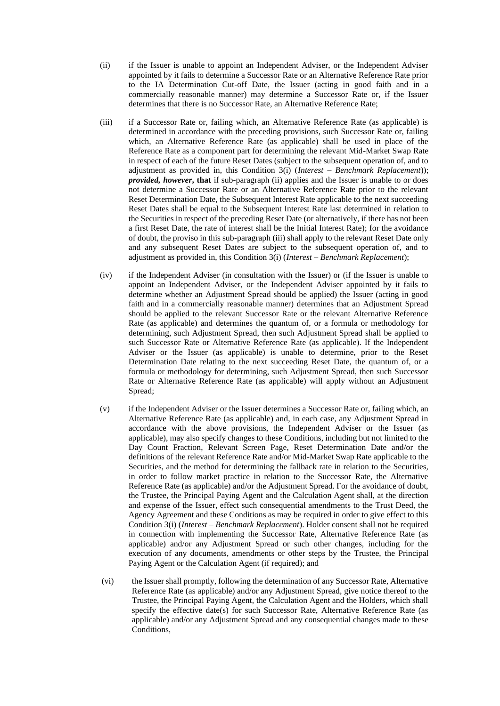- (ii) if the Issuer is unable to appoint an Independent Adviser, or the Independent Adviser appointed by it fails to determine a Successor Rate or an Alternative Reference Rate prior to the IA Determination Cut-off Date, the Issuer (acting in good faith and in a commercially reasonable manner) may determine a Successor Rate or, if the Issuer determines that there is no Successor Rate, an Alternative Reference Rate;
- (iii) if a Successor Rate or, failing which, an Alternative Reference Rate (as applicable) is determined in accordance with the preceding provisions, such Successor Rate or, failing which, an Alternative Reference Rate (as applicable) shall be used in place of the Reference Rate as a component part for determining the relevant Mid-Market Swap Rate in respect of each of the future Reset Dates (subject to the subsequent operation of, and to adjustment as provided in, this Condition 3(i) (*Interest – Benchmark Replacement*)); *provided, however***, that** if sub-paragraph (ii) applies and the Issuer is unable to or does not determine a Successor Rate or an Alternative Reference Rate prior to the relevant Reset Determination Date, the Subsequent Interest Rate applicable to the next succeeding Reset Dates shall be equal to the Subsequent Interest Rate last determined in relation to the Securities in respect of the preceding Reset Date (or alternatively, if there has not been a first Reset Date, the rate of interest shall be the Initial Interest Rate); for the avoidance of doubt, the proviso in this sub-paragraph (iii) shall apply to the relevant Reset Date only and any subsequent Reset Dates are subject to the subsequent operation of, and to adjustment as provided in, this Condition 3(i) (*Interest – Benchmark Replacement*);
- (iv) if the Independent Adviser (in consultation with the Issuer) or (if the Issuer is unable to appoint an Independent Adviser, or the Independent Adviser appointed by it fails to determine whether an Adjustment Spread should be applied) the Issuer (acting in good faith and in a commercially reasonable manner) determines that an Adjustment Spread should be applied to the relevant Successor Rate or the relevant Alternative Reference Rate (as applicable) and determines the quantum of, or a formula or methodology for determining, such Adjustment Spread, then such Adjustment Spread shall be applied to such Successor Rate or Alternative Reference Rate (as applicable). If the Independent Adviser or the Issuer (as applicable) is unable to determine, prior to the Reset Determination Date relating to the next succeeding Reset Date, the quantum of, or a formula or methodology for determining, such Adjustment Spread, then such Successor Rate or Alternative Reference Rate (as applicable) will apply without an Adjustment Spread;
- (v) if the Independent Adviser or the Issuer determines a Successor Rate or, failing which, an Alternative Reference Rate (as applicable) and, in each case, any Adjustment Spread in accordance with the above provisions, the Independent Adviser or the Issuer (as applicable), may also specify changes to these Conditions, including but not limited to the Day Count Fraction, Relevant Screen Page, Reset Determination Date and/or the definitions of the relevant Reference Rate and/or Mid-Market Swap Rate applicable to the Securities, and the method for determining the fallback rate in relation to the Securities, in order to follow market practice in relation to the Successor Rate, the Alternative Reference Rate (as applicable) and/or the Adjustment Spread. For the avoidance of doubt, the Trustee, the Principal Paying Agent and the Calculation Agent shall, at the direction and expense of the Issuer, effect such consequential amendments to the Trust Deed, the Agency Agreement and these Conditions as may be required in order to give effect to this Condition 3(i) (*Interest – Benchmark Replacement*). Holder consent shall not be required in connection with implementing the Successor Rate, Alternative Reference Rate (as applicable) and/or any Adjustment Spread or such other changes, including for the execution of any documents, amendments or other steps by the Trustee, the Principal Paying Agent or the Calculation Agent (if required); and
- (vi) the Issuer shall promptly, following the determination of any Successor Rate, Alternative Reference Rate (as applicable) and/or any Adjustment Spread, give notice thereof to the Trustee, the Principal Paying Agent, the Calculation Agent and the Holders, which shall specify the effective date(s) for such Successor Rate, Alternative Reference Rate (as applicable) and/or any Adjustment Spread and any consequential changes made to these Conditions,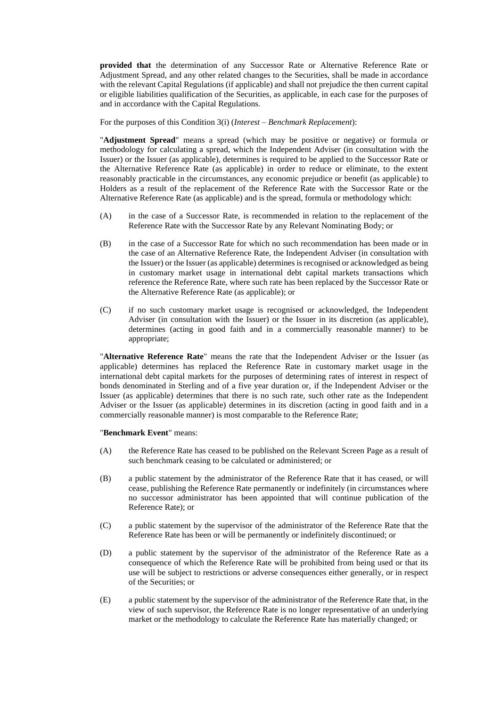**provided that** the determination of any Successor Rate or Alternative Reference Rate or Adjustment Spread, and any other related changes to the Securities, shall be made in accordance with the relevant Capital Regulations (if applicable) and shall not prejudice the then current capital or eligible liabilities qualification of the Securities, as applicable, in each case for the purposes of and in accordance with the Capital Regulations.

For the purposes of this Condition 3(i) (*Interest – Benchmark Replacement*):

"**Adjustment Spread**" means a spread (which may be positive or negative) or formula or methodology for calculating a spread, which the Independent Adviser (in consultation with the Issuer) or the Issuer (as applicable), determines is required to be applied to the Successor Rate or the Alternative Reference Rate (as applicable) in order to reduce or eliminate, to the extent reasonably practicable in the circumstances, any economic prejudice or benefit (as applicable) to Holders as a result of the replacement of the Reference Rate with the Successor Rate or the Alternative Reference Rate (as applicable) and is the spread, formula or methodology which:

- (A) in the case of a Successor Rate, is recommended in relation to the replacement of the Reference Rate with the Successor Rate by any Relevant Nominating Body; or
- (B) in the case of a Successor Rate for which no such recommendation has been made or in the case of an Alternative Reference Rate, the Independent Adviser (in consultation with the Issuer) or the Issuer (as applicable) determines is recognised or acknowledged as being in customary market usage in international debt capital markets transactions which reference the Reference Rate, where such rate has been replaced by the Successor Rate or the Alternative Reference Rate (as applicable); or
- (C) if no such customary market usage is recognised or acknowledged, the Independent Adviser (in consultation with the Issuer) or the Issuer in its discretion (as applicable), determines (acting in good faith and in a commercially reasonable manner) to be appropriate;

"**Alternative Reference Rate**" means the rate that the Independent Adviser or the Issuer (as applicable) determines has replaced the Reference Rate in customary market usage in the international debt capital markets for the purposes of determining rates of interest in respect of bonds denominated in Sterling and of a five year duration or, if the Independent Adviser or the Issuer (as applicable) determines that there is no such rate, such other rate as the Independent Adviser or the Issuer (as applicable) determines in its discretion (acting in good faith and in a commercially reasonable manner) is most comparable to the Reference Rate;

### "**Benchmark Event**" means:

- (A) the Reference Rate has ceased to be published on the Relevant Screen Page as a result of such benchmark ceasing to be calculated or administered; or
- (B) a public statement by the administrator of the Reference Rate that it has ceased, or will cease, publishing the Reference Rate permanently or indefinitely (in circumstances where no successor administrator has been appointed that will continue publication of the Reference Rate); or
- (C) a public statement by the supervisor of the administrator of the Reference Rate that the Reference Rate has been or will be permanently or indefinitely discontinued; or
- (D) a public statement by the supervisor of the administrator of the Reference Rate as a consequence of which the Reference Rate will be prohibited from being used or that its use will be subject to restrictions or adverse consequences either generally, or in respect of the Securities; or
- (E) a public statement by the supervisor of the administrator of the Reference Rate that, in the view of such supervisor, the Reference Rate is no longer representative of an underlying market or the methodology to calculate the Reference Rate has materially changed; or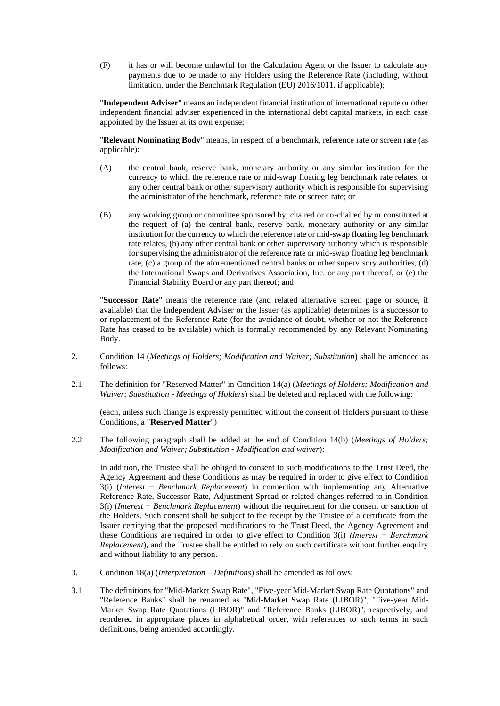(F) it has or will become unlawful for the Calculation Agent or the Issuer to calculate any payments due to be made to any Holders using the Reference Rate (including, without limitation, under the Benchmark Regulation (EU) 2016/1011, if applicable);

"**Independent Adviser**" means an independent financial institution of international repute or other independent financial adviser experienced in the international debt capital markets, in each case appointed by the Issuer at its own expense;

"**Relevant Nominating Body**" means, in respect of a benchmark, reference rate or screen rate (as applicable):

- (A) the central bank, reserve bank, monetary authority or any similar institution for the currency to which the reference rate or mid-swap floating leg benchmark rate relates, or any other central bank or other supervisory authority which is responsible for supervising the administrator of the benchmark, reference rate or screen rate; or
- (B) any working group or committee sponsored by, chaired or co-chaired by or constituted at the request of (a) the central bank, reserve bank, monetary authority or any similar institution for the currency to which the reference rate or mid-swap floating leg benchmark rate relates, (b) any other central bank or other supervisory authority which is responsible for supervising the administrator of the reference rate or mid-swap floating leg benchmark rate, (c) a group of the aforementioned central banks or other supervisory authorities, (d) the International Swaps and Derivatives Association, Inc. or any part thereof, or (e) the Financial Stability Board or any part thereof; and

"**Successor Rate**" means the reference rate (and related alternative screen page or source, if available) that the Independent Adviser or the Issuer (as applicable) determines is a successor to or replacement of the Reference Rate (for the avoidance of doubt, whether or not the Reference Rate has ceased to be available) which is formally recommended by any Relevant Nominating Body.

- 2. Condition 14 (*Meetings of Holders; Modification and Waiver; Substitution*) shall be amended as follows:
- 2.1 The definition for "Reserved Matter" in Condition 14(a) (*Meetings of Holders; Modification and Waiver; Substitution - Meetings of Holders*) shall be deleted and replaced with the following:

(each, unless such change is expressly permitted without the consent of Holders pursuant to these Conditions, a "**Reserved Matter**")

2.2 The following paragraph shall be added at the end of Condition 14(b) (*Meetings of Holders; Modification and Waiver; Substitution - Modification and waiver*):

In addition, the Trustee shall be obliged to consent to such modifications to the Trust Deed, the Agency Agreement and these Conditions as may be required in order to give effect to Condition 3(i) (*Interest* − *Benchmark Replacement*) in connection with implementing any Alternative Reference Rate, Successor Rate, Adjustment Spread or related changes referred to in Condition 3(i) (*Interest* − *Benchmark Replacement*) without the requirement for the consent or sanction of the Holders. Such consent shall be subject to the receipt by the Trustee of a certificate from the Issuer certifying that the proposed modifications to the Trust Deed, the Agency Agreement and these Conditions are required in order to give effect to Condition 3(i) *(Interest − Benchmark Replacement*), and the Trustee shall be entitled to rely on such certificate without further enquiry and without liability to any person.

- 3. Condition 18(a) (*Interpretation – Definitions*) shall be amended as follows:
- 3.1 The definitions for "Mid-Market Swap Rate", "Five-year Mid-Market Swap Rate Quotations" and "Reference Banks" shall be renamed as "Mid-Market Swap Rate (LIBOR)", "Five-year Mid-Market Swap Rate Quotations (LIBOR)" and "Reference Banks (LIBOR)", respectively, and reordered in appropriate places in alphabetical order, with references to such terms in such definitions, being amended accordingly.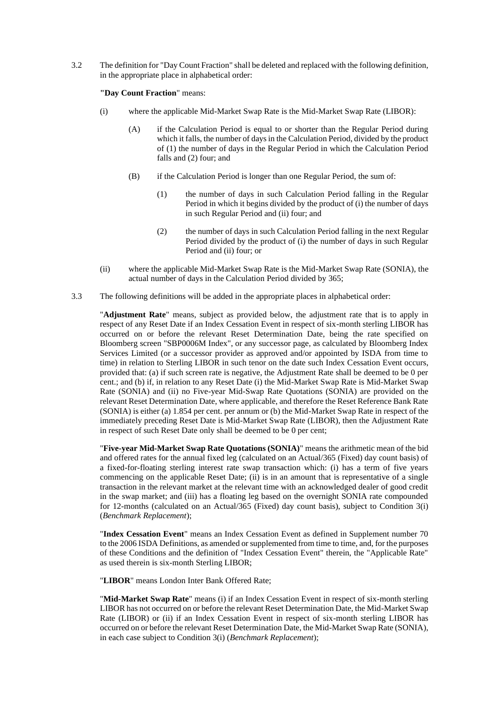3.2 The definition for "Day Count Fraction" shall be deleted and replaced with the following definition, in the appropriate place in alphabetical order:

**"Day Count Fraction**" means:

- (i) where the applicable Mid-Market Swap Rate is the Mid-Market Swap Rate (LIBOR):
	- (A) if the Calculation Period is equal to or shorter than the Regular Period during which it falls, the number of days in the Calculation Period, divided by the product of (1) the number of days in the Regular Period in which the Calculation Period falls and (2) four; and
	- (B) if the Calculation Period is longer than one Regular Period, the sum of:
		- (1) the number of days in such Calculation Period falling in the Regular Period in which it begins divided by the product of (i) the number of days in such Regular Period and (ii) four; and
		- (2) the number of days in such Calculation Period falling in the next Regular Period divided by the product of (i) the number of days in such Regular Period and (ii) four; or
- (ii) where the applicable Mid-Market Swap Rate is the Mid-Market Swap Rate (SONIA), the actual number of days in the Calculation Period divided by 365;
- 3.3 The following definitions will be added in the appropriate places in alphabetical order:

"**Adjustment Rate**" means, subject as provided below, the adjustment rate that is to apply in respect of any Reset Date if an Index Cessation Event in respect of six-month sterling LIBOR has occurred on or before the relevant Reset Determination Date, being the rate specified on Bloomberg screen "SBP0006M Index", or any successor page, as calculated by Bloomberg Index Services Limited (or a successor provider as approved and/or appointed by ISDA from time to time) in relation to Sterling LIBOR in such tenor on the date such Index Cessation Event occurs, provided that: (a) if such screen rate is negative, the Adjustment Rate shall be deemed to be 0 per cent.; and (b) if, in relation to any Reset Date (i) the Mid-Market Swap Rate is Mid-Market Swap Rate (SONIA) and (ii) no Five-year Mid-Swap Rate Quotations (SONIA) are provided on the relevant Reset Determination Date, where applicable, and therefore the Reset Reference Bank Rate (SONIA) is either (a) 1.854 per cent. per annum or (b) the Mid-Market Swap Rate in respect of the immediately preceding Reset Date is Mid-Market Swap Rate (LIBOR), then the Adjustment Rate in respect of such Reset Date only shall be deemed to be 0 per cent;

"**Five-year Mid-Market Swap Rate Quotations (SONIA)**" means the arithmetic mean of the bid and offered rates for the annual fixed leg (calculated on an Actual/365 (Fixed) day count basis) of a fixed-for-floating sterling interest rate swap transaction which: (i) has a term of five years commencing on the applicable Reset Date; (ii) is in an amount that is representative of a single transaction in the relevant market at the relevant time with an acknowledged dealer of good credit in the swap market; and (iii) has a floating leg based on the overnight SONIA rate compounded for 12-months (calculated on an Actual/365 (Fixed) day count basis), subject to Condition 3(i) (*Benchmark Replacement*);

"**Index Cessation Event**" means an Index Cessation Event as defined in Supplement number 70 to the 2006 ISDA Definitions, as amended or supplemented from time to time, and, for the purposes of these Conditions and the definition of "Index Cessation Event" therein, the "Applicable Rate" as used therein is six-month Sterling LIBOR;

"**LIBOR**" means London Inter Bank Offered Rate;

"**Mid-Market Swap Rate**" means (i) if an Index Cessation Event in respect of six-month sterling LIBOR has not occurred on or before the relevant Reset Determination Date, the Mid-Market Swap Rate (LIBOR) or (ii) if an Index Cessation Event in respect of six-month sterling LIBOR has occurred on or before the relevant Reset Determination Date, the Mid-Market Swap Rate (SONIA), in each case subject to Condition 3(i) (*Benchmark Replacement*);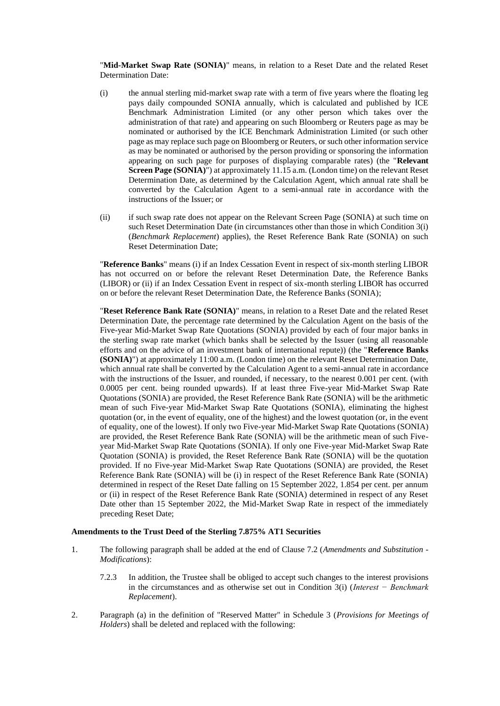"**Mid-Market Swap Rate (SONIA)**" means, in relation to a Reset Date and the related Reset Determination Date:

- (i) the annual sterling mid-market swap rate with a term of five years where the floating leg pays daily compounded SONIA annually, which is calculated and published by ICE Benchmark Administration Limited (or any other person which takes over the administration of that rate) and appearing on such Bloomberg or Reuters page as may be nominated or authorised by the ICE Benchmark Administration Limited (or such other page as may replace such page on Bloomberg or Reuters, or such other information service as may be nominated or authorised by the person providing or sponsoring the information appearing on such page for purposes of displaying comparable rates) (the "**Relevant Screen Page (SONIA)**") at approximately 11.15 a.m. (London time) on the relevant Reset Determination Date, as determined by the Calculation Agent, which annual rate shall be converted by the Calculation Agent to a semi-annual rate in accordance with the instructions of the Issuer; or
- (ii) if such swap rate does not appear on the Relevant Screen Page (SONIA) at such time on such Reset Determination Date (in circumstances other than those in which Condition 3(i) (*Benchmark Replacement*) applies), the Reset Reference Bank Rate (SONIA) on such Reset Determination Date;

"**Reference Banks**" means (i) if an Index Cessation Event in respect of six-month sterling LIBOR has not occurred on or before the relevant Reset Determination Date, the Reference Banks (LIBOR) or (ii) if an Index Cessation Event in respect of six-month sterling LIBOR has occurred on or before the relevant Reset Determination Date, the Reference Banks (SONIA);

"**Reset Reference Bank Rate (SONIA)**" means, in relation to a Reset Date and the related Reset Determination Date, the percentage rate determined by the Calculation Agent on the basis of the Five-year Mid-Market Swap Rate Quotations (SONIA) provided by each of four major banks in the sterling swap rate market (which banks shall be selected by the Issuer (using all reasonable efforts and on the advice of an investment bank of international repute)) (the "**Reference Banks (SONIA)**") at approximately 11:00 a.m. (London time) on the relevant Reset Determination Date, which annual rate shall be converted by the Calculation Agent to a semi-annual rate in accordance with the instructions of the Issuer, and rounded, if necessary, to the nearest 0.001 per cent. (with 0.0005 per cent. being rounded upwards). If at least three Five-year Mid-Market Swap Rate Quotations (SONIA) are provided, the Reset Reference Bank Rate (SONIA) will be the arithmetic mean of such Five-year Mid-Market Swap Rate Quotations (SONIA), eliminating the highest quotation (or, in the event of equality, one of the highest) and the lowest quotation (or, in the event of equality, one of the lowest). If only two Five-year Mid-Market Swap Rate Quotations (SONIA) are provided, the Reset Reference Bank Rate (SONIA) will be the arithmetic mean of such Fiveyear Mid-Market Swap Rate Quotations (SONIA). If only one Five-year Mid-Market Swap Rate Quotation (SONIA) is provided, the Reset Reference Bank Rate (SONIA) will be the quotation provided. If no Five-year Mid-Market Swap Rate Quotations (SONIA) are provided, the Reset Reference Bank Rate (SONIA) will be (i) in respect of the Reset Reference Bank Rate (SONIA) determined in respect of the Reset Date falling on 15 September 2022, 1.854 per cent. per annum or (ii) in respect of the Reset Reference Bank Rate (SONIA) determined in respect of any Reset Date other than 15 September 2022, the Mid-Market Swap Rate in respect of the immediately preceding Reset Date;

# **Amendments to the Trust Deed of the Sterling 7.875% AT1 Securities**

- 1. The following paragraph shall be added at the end of Clause 7.2 (*Amendments and Substitution - Modifications*):
	- 7.2.3 In addition, the Trustee shall be obliged to accept such changes to the interest provisions in the circumstances and as otherwise set out in Condition 3(i) (*Interest − Benchmark Replacement*).
- 2. Paragraph (a) in the definition of "Reserved Matter" in Schedule 3 (*Provisions for Meetings of Holders*) shall be deleted and replaced with the following: